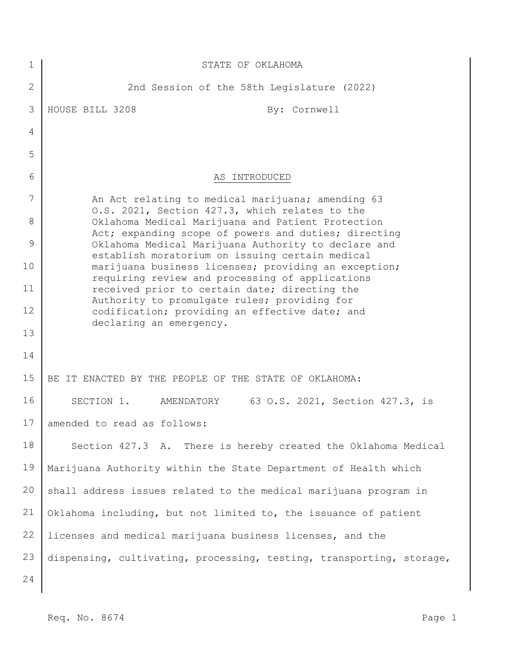| 1              | STATE OF OKLAHOMA                                                                                         |
|----------------|-----------------------------------------------------------------------------------------------------------|
| $\overline{2}$ | 2nd Session of the 58th Legislature (2022)                                                                |
| 3              | HOUSE BILL 3208<br>By: Cornwell                                                                           |
| 4              |                                                                                                           |
| 5              |                                                                                                           |
| 6              | AS INTRODUCED                                                                                             |
| 7              | An Act relating to medical marijuana; amending 63<br>O.S. 2021, Section 427.3, which relates to the       |
| 8              | Oklahoma Medical Marijuana and Patient Protection<br>Act; expanding scope of powers and duties; directing |
| 9              | Oklahoma Medical Marijuana Authority to declare and<br>establish moratorium on issuing certain medical    |
| 10             | marijuana business licenses; providing an exception;<br>requiring review and processing of applications   |
| 11             | received prior to certain date; directing the<br>Authority to promulgate rules; providing for             |
| 12             | codification; providing an effective date; and<br>declaring an emergency.                                 |
| 13             |                                                                                                           |
| 14             |                                                                                                           |
| 15             | BE IT ENACTED BY THE PEOPLE OF THE STATE OF OKLAHOMA:                                                     |
| 16             | 63 O.S. 2021, Section 427.3, is<br>SECTION 1.<br>AMENDATORY                                               |
| 17             | amended to read as follows:                                                                               |
| 18             | Section 427.3 A. There is hereby created the Oklahoma Medical                                             |
| 19             | Marijuana Authority within the State Department of Health which                                           |
| 20             | shall address issues related to the medical marijuana program in                                          |
| 21             | Oklahoma including, but not limited to, the issuance of patient                                           |
| 22             | licenses and medical marijuana business licenses, and the                                                 |
| 23             | dispensing, cultivating, processing, testing, transporting, storage,                                      |
| 24             |                                                                                                           |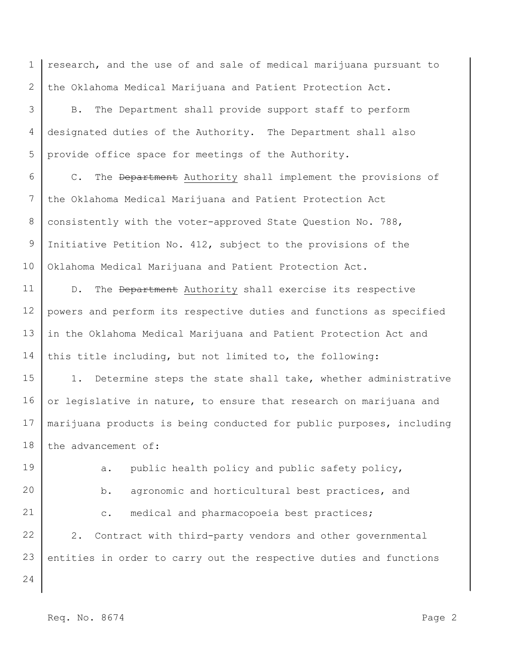1 2 research, and the use of and sale of medical marijuana pursuant to the Oklahoma Medical Marijuana and Patient Protection Act.

3 4 5 B. The Department shall provide support staff to perform designated duties of the Authority. The Department shall also provide office space for meetings of the Authority.

6 7 8 9 10 C. The Department Authority shall implement the provisions of the Oklahoma Medical Marijuana and Patient Protection Act consistently with the voter-approved State Question No. 788, Initiative Petition No. 412, subject to the provisions of the Oklahoma Medical Marijuana and Patient Protection Act.

11 12 13 14 D. The Department Authority shall exercise its respective powers and perform its respective duties and functions as specified in the Oklahoma Medical Marijuana and Patient Protection Act and this title including, but not limited to, the following:

15 16 17 18 1. Determine steps the state shall take, whether administrative or legislative in nature, to ensure that research on marijuana and marijuana products is being conducted for public purposes, including the advancement of:

19

a. public health policy and public safety policy,

20

21

b. agronomic and horticultural best practices, and c. medical and pharmacopoeia best practices;

22 23 2. Contract with third-party vendors and other governmental entities in order to carry out the respective duties and functions

24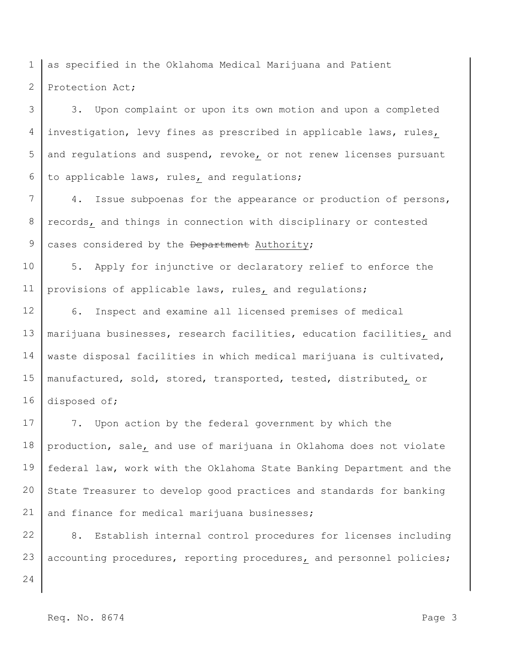1 2 as specified in the Oklahoma Medical Marijuana and Patient Protection Act;

3 4 5 6 3. Upon complaint or upon its own motion and upon a completed investigation, levy fines as prescribed in applicable laws, rules, and regulations and suspend, revoke, or not renew licenses pursuant to applicable laws, rules, and regulations;

7 8 9 4. Issue subpoenas for the appearance or production of persons, records, and things in connection with disciplinary or contested cases considered by the Department Authority;

10 11 5. Apply for injunctive or declaratory relief to enforce the provisions of applicable laws, rules, and regulations;

12 13 14 15 16 6. Inspect and examine all licensed premises of medical marijuana businesses, research facilities, education facilities, and waste disposal facilities in which medical marijuana is cultivated, manufactured, sold, stored, transported, tested, distributed, or disposed of;

17 18 19 20 21 7. Upon action by the federal government by which the production, sale, and use of marijuana in Oklahoma does not violate federal law, work with the Oklahoma State Banking Department and the State Treasurer to develop good practices and standards for banking and finance for medical marijuana businesses;

22 23 8. Establish internal control procedures for licenses including accounting procedures, reporting procedures, and personnel policies;

24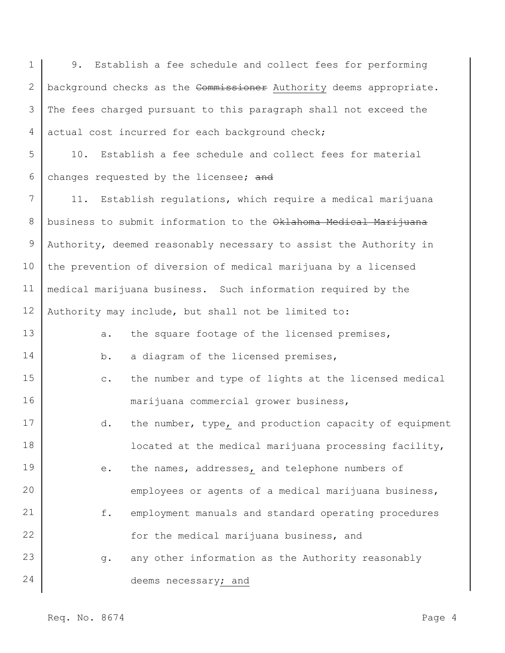1 2 3 4 5 6 7 8 9 10 11 12 13 14 15 16 17 18 19 20 21 22 23 24 9. Establish a fee schedule and collect fees for performing background checks as the Commissioner Authority deems appropriate. The fees charged pursuant to this paragraph shall not exceed the actual cost incurred for each background check; 10. Establish a fee schedule and collect fees for material changes requested by the licensee; and 11. Establish regulations, which require a medical marijuana business to submit information to the Oklahoma Medical Marijuana Authority, deemed reasonably necessary to assist the Authority in the prevention of diversion of medical marijuana by a licensed medical marijuana business. Such information required by the Authority may include, but shall not be limited to: a. the square footage of the licensed premises, b. a diagram of the licensed premises, c. the number and type of lights at the licensed medical marijuana commercial grower business, d. the number, type, and production capacity of equipment located at the medical marijuana processing facility, e. the names, addresses, and telephone numbers of employees or agents of a medical marijuana business, f. employment manuals and standard operating procedures for the medical marijuana business, and g. any other information as the Authority reasonably deems necessary; and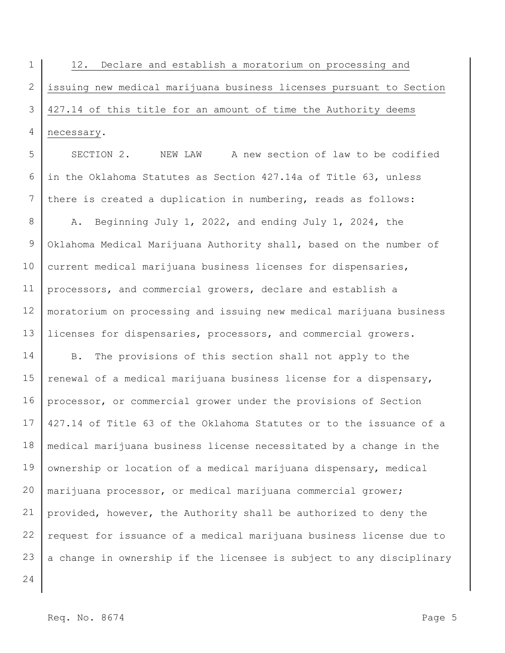1 2 3 4 12. Declare and establish a moratorium on processing and issuing new medical marijuana business licenses pursuant to Section 427.14 of this title for an amount of time the Authority deems necessary.

5 6 7 SECTION 2. NEW LAW A new section of law to be codified in the Oklahoma Statutes as Section 427.14a of Title 63, unless there is created a duplication in numbering, reads as follows:

8 9 10 11 12 13 A. Beginning July 1, 2022, and ending July 1, 2024, the Oklahoma Medical Marijuana Authority shall, based on the number of current medical marijuana business licenses for dispensaries, processors, and commercial growers, declare and establish a moratorium on processing and issuing new medical marijuana business licenses for dispensaries, processors, and commercial growers.

14 15 16 17 18 19 20 21 22 23 B. The provisions of this section shall not apply to the renewal of a medical marijuana business license for a dispensary, processor, or commercial grower under the provisions of Section 427.14 of Title 63 of the Oklahoma Statutes or to the issuance of a medical marijuana business license necessitated by a change in the ownership or location of a medical marijuana dispensary, medical marijuana processor, or medical marijuana commercial grower; provided, however, the Authority shall be authorized to deny the request for issuance of a medical marijuana business license due to a change in ownership if the licensee is subject to any disciplinary

24